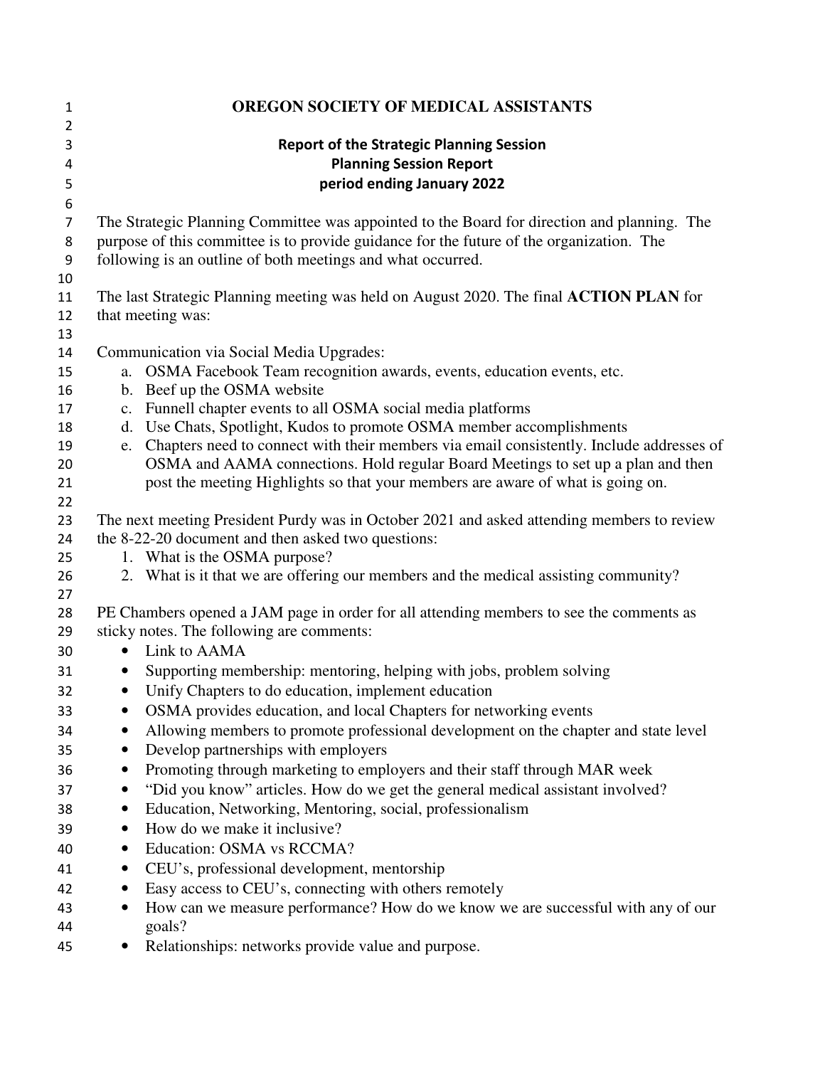| $\mathbf{1}$     | OREGON SOCIETY OF MEDICAL ASSISTANTS                                                                                                 |                                                                                                                                                          |
|------------------|--------------------------------------------------------------------------------------------------------------------------------------|----------------------------------------------------------------------------------------------------------------------------------------------------------|
| 2                |                                                                                                                                      |                                                                                                                                                          |
| 3                | <b>Report of the Strategic Planning Session</b>                                                                                      |                                                                                                                                                          |
| 4                | <b>Planning Session Report</b>                                                                                                       |                                                                                                                                                          |
| 5                |                                                                                                                                      | period ending January 2022                                                                                                                               |
| $\boldsymbol{6}$ |                                                                                                                                      |                                                                                                                                                          |
| $\overline{7}$   |                                                                                                                                      | The Strategic Planning Committee was appointed to the Board for direction and planning. The                                                              |
| 8                | purpose of this committee is to provide guidance for the future of the organization. The                                             |                                                                                                                                                          |
| 9                |                                                                                                                                      | following is an outline of both meetings and what occurred.                                                                                              |
| 10               |                                                                                                                                      |                                                                                                                                                          |
| 11               | The last Strategic Planning meeting was held on August 2020. The final ACTION PLAN for<br>that meeting was:                          |                                                                                                                                                          |
| 12<br>13         |                                                                                                                                      |                                                                                                                                                          |
| 14               |                                                                                                                                      | Communication via Social Media Upgrades:                                                                                                                 |
| 15               | a.                                                                                                                                   | OSMA Facebook Team recognition awards, events, education events, etc.                                                                                    |
| 16               |                                                                                                                                      | b. Beef up the OSMA website                                                                                                                              |
| 17               |                                                                                                                                      | c. Funnell chapter events to all OSMA social media platforms                                                                                             |
| 18               | d.                                                                                                                                   | Use Chats, Spotlight, Kudos to promote OSMA member accomplishments                                                                                       |
| 19               | e.                                                                                                                                   | Chapters need to connect with their members via email consistently. Include addresses of                                                                 |
| 20               |                                                                                                                                      | OSMA and AAMA connections. Hold regular Board Meetings to set up a plan and then                                                                         |
| 21               |                                                                                                                                      | post the meeting Highlights so that your members are aware of what is going on.                                                                          |
| 22               |                                                                                                                                      |                                                                                                                                                          |
| 23               |                                                                                                                                      | The next meeting President Purdy was in October 2021 and asked attending members to review                                                               |
| 24               |                                                                                                                                      | the 8-22-20 document and then asked two questions:                                                                                                       |
| 25               |                                                                                                                                      | 1. What is the OSMA purpose?                                                                                                                             |
| 26               |                                                                                                                                      | 2. What is it that we are offering our members and the medical assisting community?                                                                      |
| 27               |                                                                                                                                      |                                                                                                                                                          |
| 28               | PE Chambers opened a JAM page in order for all attending members to see the comments as<br>sticky notes. The following are comments: |                                                                                                                                                          |
| 29               | $\bullet$                                                                                                                            | Link to AAMA                                                                                                                                             |
| 30               |                                                                                                                                      |                                                                                                                                                          |
| 31               | $\bullet$<br>$\bullet$                                                                                                               | Supporting membership: mentoring, helping with jobs, problem solving<br>Unify Chapters to do education, implement education                              |
| 32               |                                                                                                                                      |                                                                                                                                                          |
| 33<br>34         | $\bullet$                                                                                                                            | OSMA provides education, and local Chapters for networking events<br>Allowing members to promote professional development on the chapter and state level |
|                  | $\bullet$                                                                                                                            | Develop partnerships with employers                                                                                                                      |
| 35<br>36         | $\bullet$                                                                                                                            | Promoting through marketing to employers and their staff through MAR week                                                                                |
|                  | $\bullet$                                                                                                                            | "Did you know" articles. How do we get the general medical assistant involved?                                                                           |
| 37<br>38         | $\bullet$                                                                                                                            | Education, Networking, Mentoring, social, professionalism                                                                                                |
| 39               | $\bullet$                                                                                                                            | How do we make it inclusive?                                                                                                                             |
|                  |                                                                                                                                      | Education: OSMA vs RCCMA?                                                                                                                                |
| 40               | ٠<br>$\bullet$                                                                                                                       | CEU's, professional development, mentorship                                                                                                              |
| 41               | ٠                                                                                                                                    | Easy access to CEU's, connecting with others remotely                                                                                                    |
| 42<br>43         | ٠                                                                                                                                    | How can we measure performance? How do we know we are successful with any of our                                                                         |
| 44               |                                                                                                                                      | goals?                                                                                                                                                   |
| 45               |                                                                                                                                      | Relationships: networks provide value and purpose.                                                                                                       |
|                  |                                                                                                                                      |                                                                                                                                                          |